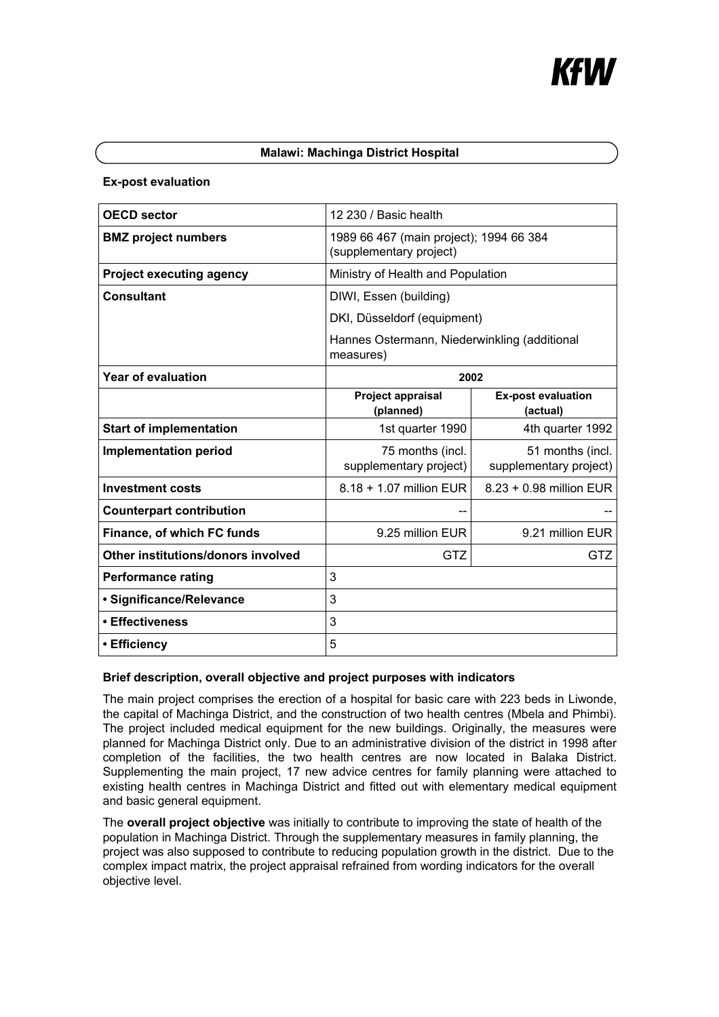# KŦU

## **Malawi: Machinga District Hospital**

## **Ex-post evaluation**

| <b>OECD</b> sector                 | 12 230 / Basic health                                              |                                            |
|------------------------------------|--------------------------------------------------------------------|--------------------------------------------|
| <b>BMZ</b> project numbers         | 1989 66 467 (main project); 1994 66 384<br>(supplementary project) |                                            |
| <b>Project executing agency</b>    | Ministry of Health and Population                                  |                                            |
| <b>Consultant</b>                  | DIWI, Essen (building)                                             |                                            |
|                                    | DKI, Düsseldorf (equipment)                                        |                                            |
|                                    | Hannes Ostermann, Niederwinkling (additional<br>measures)          |                                            |
| <b>Year of evaluation</b>          | 2002                                                               |                                            |
|                                    | <b>Project appraisal</b><br>(planned)                              | <b>Ex-post evaluation</b><br>(actual)      |
| <b>Start of implementation</b>     | 1st quarter 1990                                                   | 4th quarter 1992                           |
| <b>Implementation period</b>       | 75 months (incl.<br>supplementary project)                         | 51 months (incl.<br>supplementary project) |
| <b>Investment costs</b>            | 8.18 + 1.07 million EUR                                            | 8.23 + 0.98 million EUR                    |
| <b>Counterpart contribution</b>    |                                                                    |                                            |
| Finance, of which FC funds         | 9.25 million EUR                                                   | 9.21 million EUR                           |
| Other institutions/donors involved | GTZ                                                                | GTZ                                        |
| <b>Performance rating</b>          | 3                                                                  |                                            |
| · Significance/Relevance           | 3                                                                  |                                            |
| • Effectiveness                    | 3                                                                  |                                            |
| • Efficiency                       | 5                                                                  |                                            |

## **Brief description, overall objective and project purposes with indicators**

The main project comprises the erection of a hospital for basic care with 223 beds in Liwonde, the capital of Machinga District, and the construction of two health centres (Mbela and Phimbi). The project included medical equipment for the new buildings. Originally, the measures were planned for Machinga District only. Due to an administrative division of the district in 1998 after completion of the facilities, the two health centres are now located in Balaka District. Supplementing the main project, 17 new advice centres for family planning were attached to existing health centres in Machinga District and fitted out with elementary medical equipment and basic general equipment.

The **overall project objective** was initially to contribute to improving the state of health of the population in Machinga District. Through the supplementary measures in family planning, the project was also supposed to contribute to reducing population growth in the district. Due to the complex impact matrix, the project appraisal refrained from wording indicators for the overall objective level.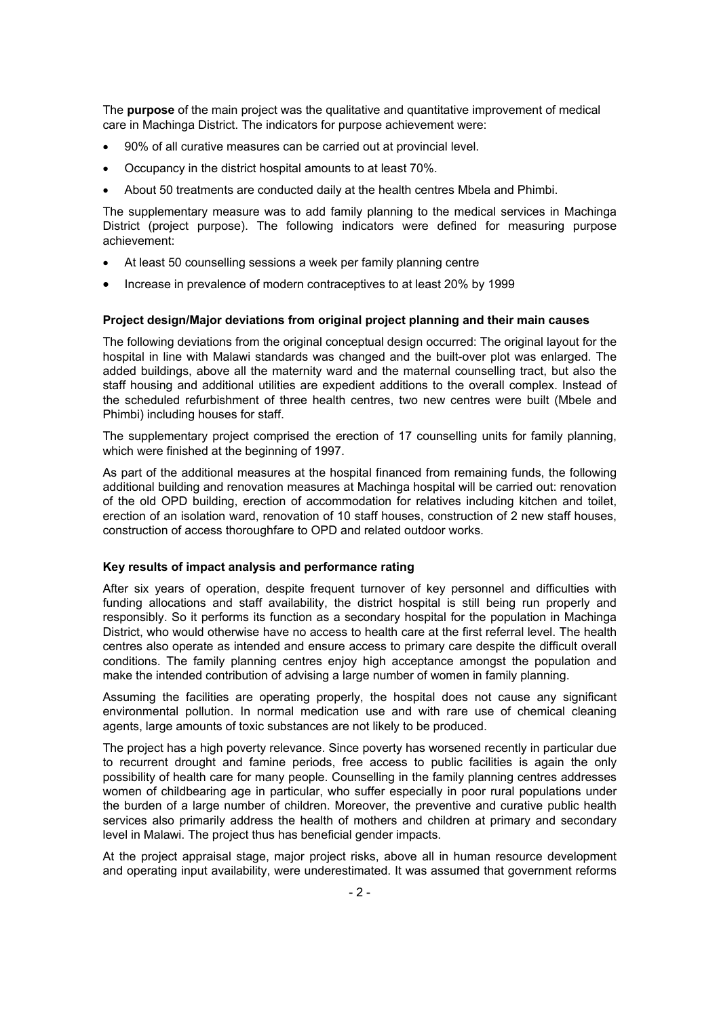The **purpose** of the main project was the qualitative and quantitative improvement of medical care in Machinga District. The indicators for purpose achievement were:

- 90% of all curative measures can be carried out at provincial level.
- Occupancy in the district hospital amounts to at least 70%.
- About 50 treatments are conducted daily at the health centres Mbela and Phimbi.

The supplementary measure was to add family planning to the medical services in Machinga District (project purpose). The following indicators were defined for measuring purpose achievement:

- At least 50 counselling sessions a week per family planning centre
- Increase in prevalence of modern contraceptives to at least 20% by 1999

### **Project design/Major deviations from original project planning and their main causes**

The following deviations from the original conceptual design occurred: The original layout for the hospital in line with Malawi standards was changed and the built-over plot was enlarged. The added buildings, above all the maternity ward and the maternal counselling tract, but also the staff housing and additional utilities are expedient additions to the overall complex. Instead of the scheduled refurbishment of three health centres, two new centres were built (Mbele and Phimbi) including houses for staff.

The supplementary project comprised the erection of 17 counselling units for family planning, which were finished at the beginning of 1997.

As part of the additional measures at the hospital financed from remaining funds, the following additional building and renovation measures at Machinga hospital will be carried out: renovation of the old OPD building, erection of accommodation for relatives including kitchen and toilet, erection of an isolation ward, renovation of 10 staff houses, construction of 2 new staff houses, construction of access thoroughfare to OPD and related outdoor works.

### **Key results of impact analysis and performance rating**

After six years of operation, despite frequent turnover of key personnel and difficulties with funding allocations and staff availability, the district hospital is still being run properly and responsibly. So it performs its function as a secondary hospital for the population in Machinga District, who would otherwise have no access to health care at the first referral level. The health centres also operate as intended and ensure access to primary care despite the difficult overall conditions. The family planning centres enjoy high acceptance amongst the population and make the intended contribution of advising a large number of women in family planning.

Assuming the facilities are operating properly, the hospital does not cause any significant environmental pollution. In normal medication use and with rare use of chemical cleaning agents, large amounts of toxic substances are not likely to be produced.

The project has a high poverty relevance. Since poverty has worsened recently in particular due to recurrent drought and famine periods, free access to public facilities is again the only possibility of health care for many people. Counselling in the family planning centres addresses women of childbearing age in particular, who suffer especially in poor rural populations under the burden of a large number of children. Moreover, the preventive and curative public health services also primarily address the health of mothers and children at primary and secondary level in Malawi. The project thus has beneficial gender impacts.

At the project appraisal stage, major project risks, above all in human resource development and operating input availability, were underestimated. It was assumed that government reforms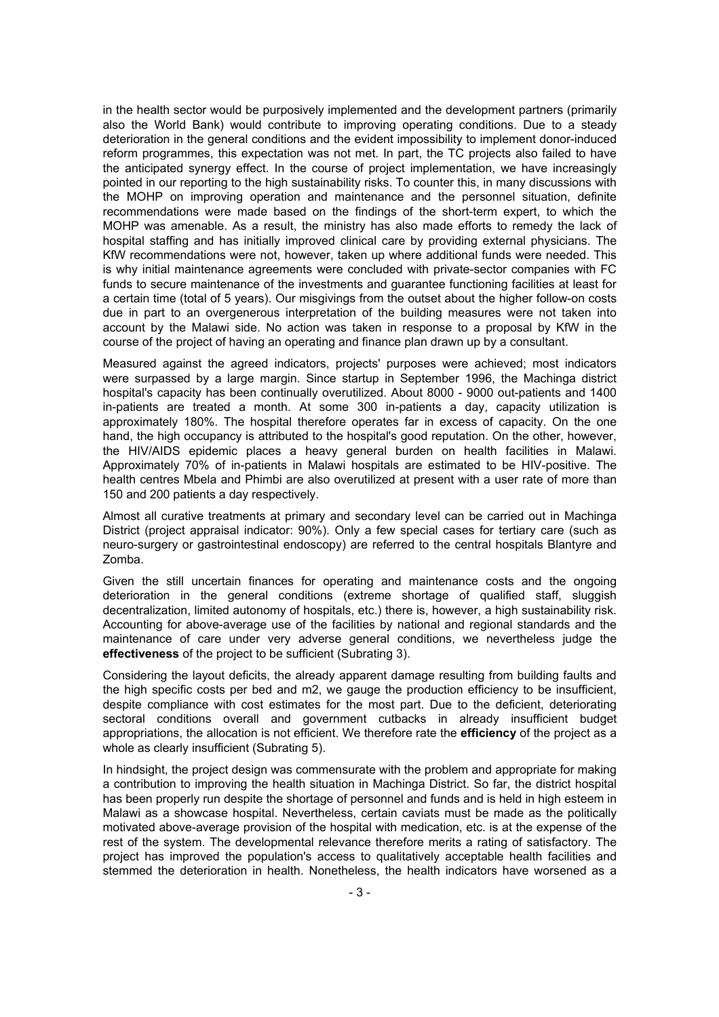in the health sector would be purposively implemented and the development partners (primarily also the World Bank) would contribute to improving operating conditions. Due to a steady deterioration in the general conditions and the evident impossibility to implement donor-induced reform programmes, this expectation was not met. In part, the TC projects also failed to have the anticipated synergy effect. In the course of project implementation, we have increasingly pointed in our reporting to the high sustainability risks. To counter this, in many discussions with the MOHP on improving operation and maintenance and the personnel situation, definite recommendations were made based on the findings of the short-term expert, to which the MOHP was amenable. As a result, the ministry has also made efforts to remedy the lack of hospital staffing and has initially improved clinical care by providing external physicians. The KfW recommendations were not, however, taken up where additional funds were needed. This is why initial maintenance agreements were concluded with private-sector companies with FC funds to secure maintenance of the investments and guarantee functioning facilities at least for a certain time (total of 5 years). Our misgivings from the outset about the higher follow-on costs due in part to an overgenerous interpretation of the building measures were not taken into account by the Malawi side. No action was taken in response to a proposal by KfW in the course of the project of having an operating and finance plan drawn up by a consultant.

Measured against the agreed indicators, projects' purposes were achieved; most indicators were surpassed by a large margin. Since startup in September 1996, the Machinga district hospital's capacity has been continually overutilized. About 8000 - 9000 out-patients and 1400 in-patients are treated a month. At some 300 in-patients a day, capacity utilization is approximately 180%. The hospital therefore operates far in excess of capacity. On the one hand, the high occupancy is attributed to the hospital's good reputation. On the other, however, the HIV/AIDS epidemic places a heavy general burden on health facilities in Malawi. Approximately 70% of in-patients in Malawi hospitals are estimated to be HIV-positive. The health centres Mbela and Phimbi are also overutilized at present with a user rate of more than 150 and 200 patients a day respectively.

Almost all curative treatments at primary and secondary level can be carried out in Machinga District (project appraisal indicator: 90%). Only a few special cases for tertiary care (such as neuro-surgery or gastrointestinal endoscopy) are referred to the central hospitals Blantyre and Zomba.

Given the still uncertain finances for operating and maintenance costs and the ongoing deterioration in the general conditions (extreme shortage of qualified staff, sluggish decentralization, limited autonomy of hospitals, etc.) there is, however, a high sustainability risk. Accounting for above-average use of the facilities by national and regional standards and the maintenance of care under very adverse general conditions, we nevertheless judge the **effectiveness** of the project to be sufficient (Subrating 3).

Considering the layout deficits, the already apparent damage resulting from building faults and the high specific costs per bed and m2, we gauge the production efficiency to be insufficient, despite compliance with cost estimates for the most part. Due to the deficient, deteriorating sectoral conditions overall and government cutbacks in already insufficient budget appropriations, the allocation is not efficient. We therefore rate the **efficiency** of the project as a whole as clearly insufficient (Subrating 5).

In hindsight, the project design was commensurate with the problem and appropriate for making a contribution to improving the health situation in Machinga District. So far, the district hospital has been properly run despite the shortage of personnel and funds and is held in high esteem in Malawi as a showcase hospital. Nevertheless, certain caviats must be made as the politically motivated above-average provision of the hospital with medication, etc. is at the expense of the rest of the system. The developmental relevance therefore merits a rating of satisfactory. The project has improved the population's access to qualitatively acceptable health facilities and stemmed the deterioration in health. Nonetheless, the health indicators have worsened as a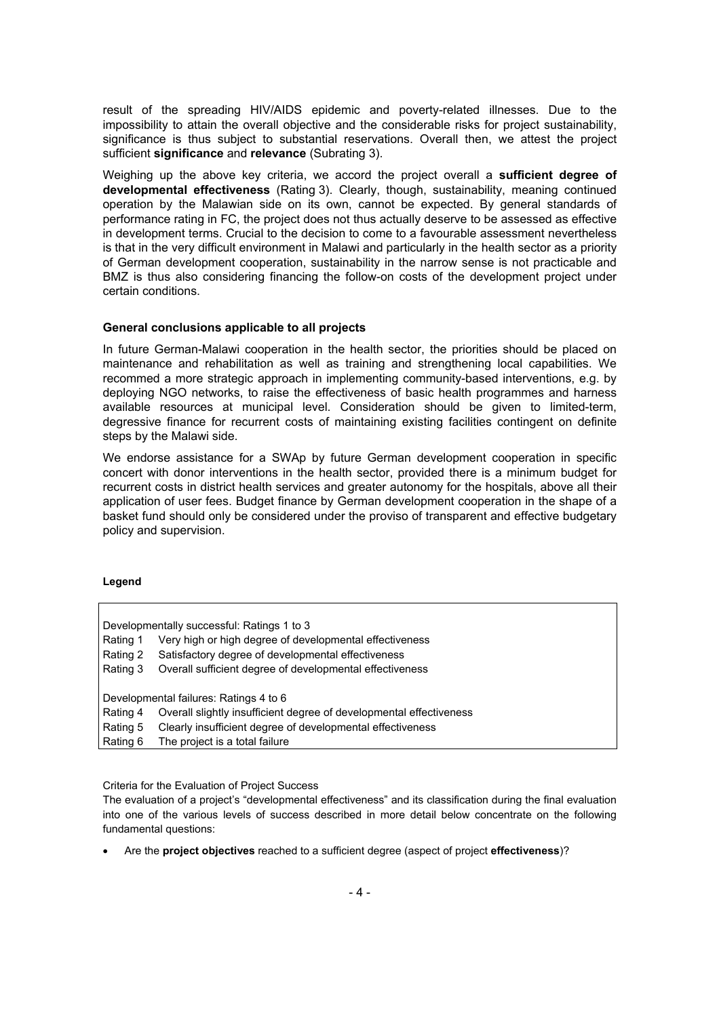result of the spreading HIV/AIDS epidemic and poverty-related illnesses. Due to the impossibility to attain the overall objective and the considerable risks for project sustainability, significance is thus subject to substantial reservations. Overall then, we attest the project sufficient **significance** and **relevance** (Subrating 3).

Weighing up the above key criteria, we accord the project overall a **sufficient degree of developmental effectiveness** (Rating 3). Clearly, though, sustainability, meaning continued operation by the Malawian side on its own, cannot be expected. By general standards of performance rating in FC, the project does not thus actually deserve to be assessed as effective in development terms. Crucial to the decision to come to a favourable assessment nevertheless is that in the very difficult environment in Malawi and particularly in the health sector as a priority of German development cooperation, sustainability in the narrow sense is not practicable and BMZ is thus also considering financing the follow-on costs of the development project under certain conditions.

### **General conclusions applicable to all projects**

In future German-Malawi cooperation in the health sector, the priorities should be placed on maintenance and rehabilitation as well as training and strengthening local capabilities. We recommed a more strategic approach in implementing community-based interventions, e.g. by deploying NGO networks, to raise the effectiveness of basic health programmes and harness available resources at municipal level. Consideration should be given to limited-term, degressive finance for recurrent costs of maintaining existing facilities contingent on definite steps by the Malawi side.

We endorse assistance for a SWAp by future German development cooperation in specific concert with donor interventions in the health sector, provided there is a minimum budget for recurrent costs in district health services and greater autonomy for the hospitals, above all their application of user fees. Budget finance by German development cooperation in the shape of a basket fund should only be considered under the proviso of transparent and effective budgetary policy and supervision.

#### **Legend**

|          | Developmentally successful: Ratings 1 to 3                          |
|----------|---------------------------------------------------------------------|
| Rating 1 | Very high or high degree of developmental effectiveness             |
| Rating 2 | Satisfactory degree of developmental effectiveness                  |
| Rating 3 | Overall sufficient degree of developmental effectiveness            |
|          | Developmental failures: Ratings 4 to 6                              |
| Rating 4 | Overall slightly insufficient degree of developmental effectiveness |
| Rating 5 | Clearly insufficient degree of developmental effectiveness          |
| Rating 6 | The project is a total failure                                      |

Criteria for the Evaluation of Project Success

The evaluation of a project's "developmental effectiveness" and its classification during the final evaluation into one of the various levels of success described in more detail below concentrate on the following fundamental questions:

• Are the **project objectives** reached to a sufficient degree (aspect of project **effectiveness**)?